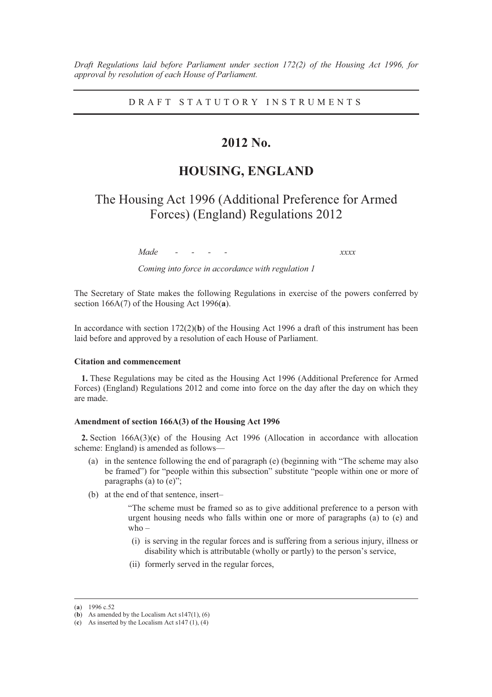*Draft Regulations laid before Parliament under section 172(2) of the Housing Act 1996, for approval by resolution of each House of Parliament.* 

DRAFT STATUTORY INSTRUMENTS

# **2012 No.**

# **HOUSING, ENGLAND**

The Housing Act 1996 (Additional Preference for Armed Forces) (England) Regulations 2012

*Made - - - - xxxx* 

*Coming into force in accordance with regulation 1* 

The Secretary of State makes the following Regulations in exercise of the powers conferred by section 166A(7) of the Housing Act 1996(**a**).

In accordance with section  $172(2)(b)$  of the Housing Act 1996 a draft of this instrument has been laid before and approved by a resolution of each House of Parliament.

#### **Citation and commencement**

**1.** These Regulations may be cited as the Housing Act 1996 (Additional Preference for Armed Forces) (England) Regulations 2012 and come into force on the day after the day on which they are made.

#### **Amendment of section 166A(3) of the Housing Act 1996**

**2.** Section 166A(3)(**c**) of the Housing Act 1996 (Allocation in accordance with allocation scheme: England) is amended as follows—

- (a) in the sentence following the end of paragraph (e) (beginning with "The scheme may also be framed") for "people within this subsection" substitute "people within one or more of paragraphs (a) to (e)";
- (b) at the end of that sentence, insert–

"The scheme must be framed so as to give additional preference to a person with urgent housing needs who falls within one or more of paragraphs (a) to (e) and who –

- (i) is serving in the regular forces and is suffering from a serious injury, illness or disability which is attributable (wholly or partly) to the person's service,
- (ii) formerly served in the regular forces,

 <sup>(</sup>**a**) 1996 c.52

 $(b)$  As amended by the Localism Act s147(1), (6)

<sup>(</sup>c) As inserted by the Localism Act  $s147(1)$ , (4)